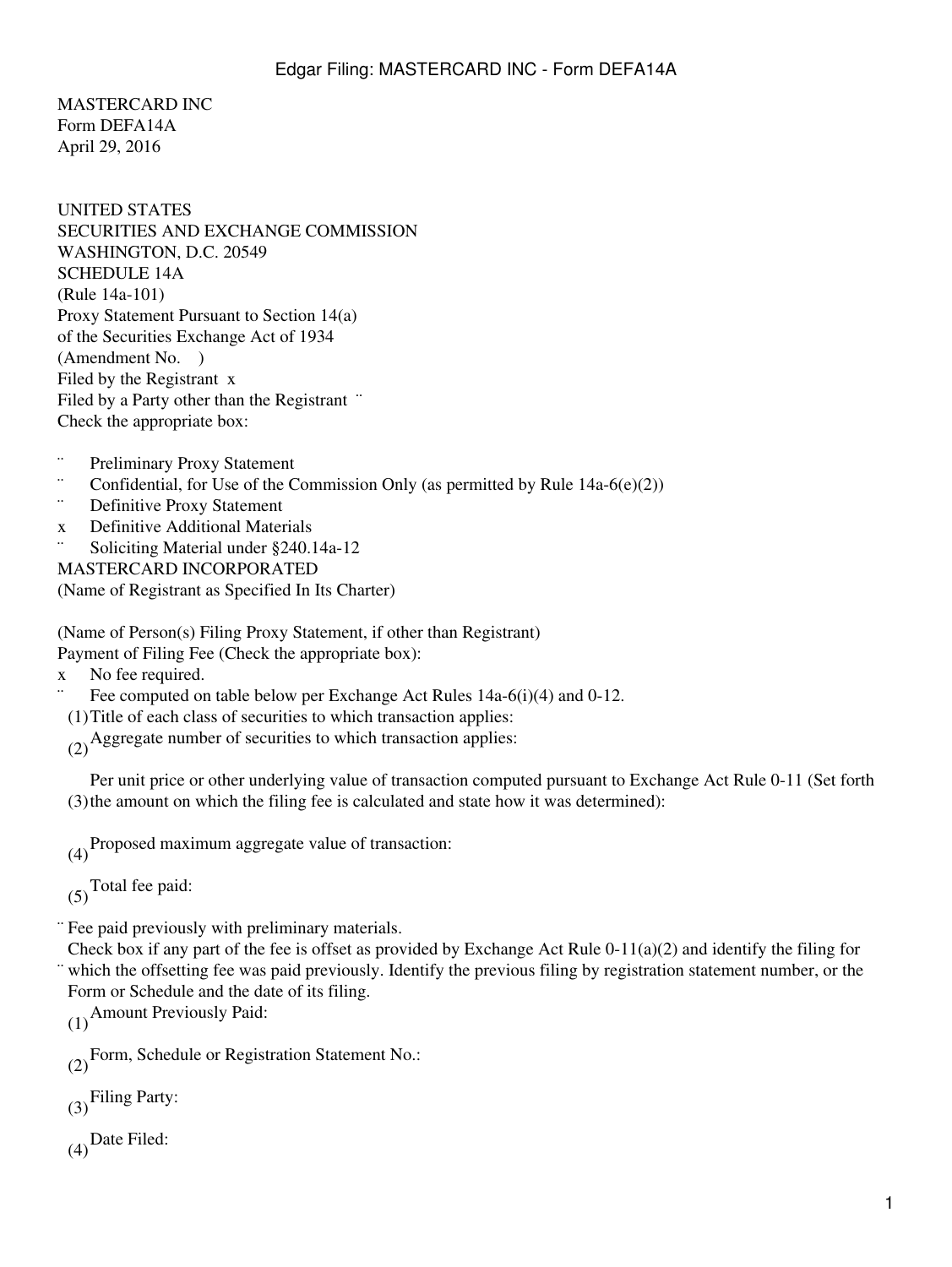MASTERCARD INC Form DEFA14A April 29, 2016

UNITED STATES SECURITIES AND EXCHANGE COMMISSION WASHINGTON, D.C. 20549 SCHEDULE 14A (Rule 14a-101) Proxy Statement Pursuant to Section 14(a) of the Securities Exchange Act of 1934 (Amendment No. ) Filed by the Registrant x Filed by a Party other than the Registrant " Check the appropriate box:

- ¨ Preliminary Proxy Statement
- $\therefore$  Confidential, for Use of the Commission Only (as permitted by Rule 14a-6(e)(2))
- Definitive Proxy Statement
- x Definitive Additional Materials
- Soliciting Material under §240.14a-12

MASTERCARD INCORPORATED (Name of Registrant as Specified In Its Charter)

(Name of Person(s) Filing Proxy Statement, if other than Registrant)

Payment of Filing Fee (Check the appropriate box):

x No fee required.

- Fee computed on table below per Exchange Act Rules 14a-6(i)(4) and 0-12.
- (1)Title of each class of securities to which transaction applies:
- (2)Aggregate number of securities to which transaction applies:

(3) the amount on which the filing fee is calculated and state how it was determined): Per unit price or other underlying value of transaction computed pursuant to Exchange Act Rule 0-11 (Set forth

(4)Proposed maximum aggregate value of transaction:

 $(5)$ Total fee paid:

¨ Fee paid previously with preliminary materials.

¨ which the offsetting fee was paid previously. Identify the previous filing by registration statement number, or the Check box if any part of the fee is offset as provided by Exchange Act Rule 0-11(a)(2) and identify the filing for Form or Schedule and the date of its filing.

(1)Amount Previously Paid:

(2)Form, Schedule or Registration Statement No.:

(3)Filing Party:

 $(4)$ Date Filed: